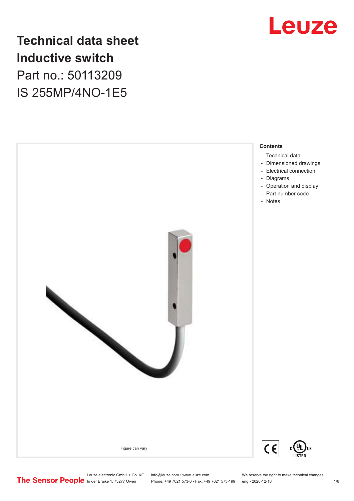

## **Technical data sheet Inductive switch** Part no.: 50113209 IS 255MP/4NO-1E5



Leuze electronic GmbH + Co. KG info@leuze.com • www.leuze.com We reserve the right to make technical changes<br>
The Sensor People in der Braike 1, 73277 Owen Phone: +49 7021 573-0 • Fax: +49 7021 573-199 eng • 2020-12-16

Phone: +49 7021 573-0 • Fax: +49 7021 573-199 eng • 2020-12-16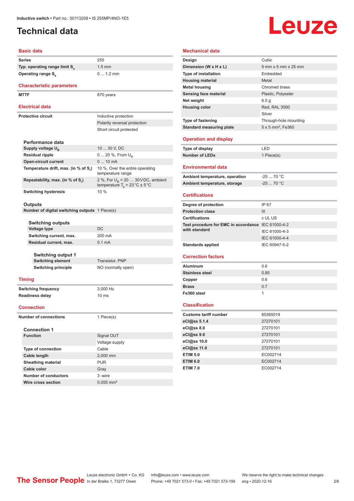### <span id="page-1-0"></span>**Technical data**

# **Leuze**

#### **Basic data**

| Series                                    |                                                       | 255                                                                                      |
|-------------------------------------------|-------------------------------------------------------|------------------------------------------------------------------------------------------|
| Typ. operating range limit S <sub>n</sub> |                                                       | $1.5 \text{ mm}$                                                                         |
| Operating range S <sub>a</sub>            |                                                       | $0 1.2$ mm                                                                               |
|                                           | <b>Characteristic parameters</b>                      |                                                                                          |
| <b>MTTF</b>                               |                                                       | 870 years                                                                                |
| <b>Electrical data</b>                    |                                                       |                                                                                          |
| <b>Protective circuit</b>                 |                                                       | Inductive protection                                                                     |
|                                           |                                                       | Polarity reversal protection                                                             |
|                                           |                                                       | Short circuit protected                                                                  |
|                                           |                                                       |                                                                                          |
|                                           | Performance data                                      |                                                                                          |
|                                           | Supply voltage $U_{B}$                                | 10  30 V, DC                                                                             |
|                                           | <b>Residual ripple</b>                                | 0  20 %, From $U_{\rm B}$                                                                |
|                                           | <b>Open-circuit current</b>                           | $010$ mA                                                                                 |
|                                           | Temperature drift, max. (in % of S <sub>r</sub> )     | 10 %, Over the entire operating<br>temperature range                                     |
|                                           | Repeatability, max. (in % of S,)                      | 2 %, For $U_B$ = 20  30 VDC, ambient<br>temperature $T_a = 23 \degree C \pm 5 \degree C$ |
|                                           | <b>Switching hysteresis</b>                           | $10\%$                                                                                   |
|                                           | <b>Outputs</b>                                        |                                                                                          |
|                                           | <b>Number of digital switching outputs</b> 1 Piece(s) |                                                                                          |
|                                           |                                                       |                                                                                          |
|                                           | Switching outputs                                     |                                                                                          |
|                                           | Voltage type                                          | DC                                                                                       |
|                                           | Switching current, max.                               | 200 mA                                                                                   |
|                                           | Residual current, max.                                | 0.1 <sub>m</sub> A                                                                       |
|                                           |                                                       |                                                                                          |
|                                           | <b>Switching output 1</b><br><b>Switching element</b> | Transistor, PNP                                                                          |
|                                           | <b>Switching principle</b>                            | NO (normally open)                                                                       |
|                                           |                                                       |                                                                                          |
|                                           | <b>Timing</b>                                         |                                                                                          |
|                                           | <b>Switching frequency</b>                            | 3,000 Hz                                                                                 |
|                                           | <b>Readiness delay</b>                                | 10 <sub>ms</sub>                                                                         |
|                                           |                                                       |                                                                                          |
|                                           | <b>Connection</b>                                     |                                                                                          |
| <b>Number of connections</b>              |                                                       | 1 Piece(s)                                                                               |
|                                           | <b>Connection 1</b>                                   |                                                                                          |
|                                           | <b>Function</b>                                       | Signal OUT                                                                               |
|                                           |                                                       | Voltage supply                                                                           |
|                                           | <b>Type of connection</b>                             | Cable                                                                                    |
|                                           | Cable length                                          | 2,000 mm                                                                                 |
|                                           | <b>Sheathing material</b>                             | <b>PUR</b>                                                                               |
|                                           | Cable color                                           | Gray                                                                                     |
|                                           | <b>Number of conductors</b>                           | 3-wire                                                                                   |
|                                           |                                                       |                                                                                          |

| Mechanical data                                    |                                      |  |  |
|----------------------------------------------------|--------------------------------------|--|--|
| Design                                             | Cubic                                |  |  |
| Dimension (W x H x L)                              | 5 mm x 5 mm x 25 mm                  |  |  |
| <b>Type of installation</b>                        | Embedded                             |  |  |
| <b>Housing material</b>                            | Metal                                |  |  |
| <b>Metal housing</b>                               | Chromed brass                        |  |  |
| Sensing face material                              | Plastic, Polyester                   |  |  |
| Net weight                                         | 6.5g                                 |  |  |
| <b>Housing color</b>                               | Red, RAL 3000                        |  |  |
|                                                    | Silver                               |  |  |
| Type of fastening                                  | Through-hole mounting                |  |  |
| <b>Standard measuring plate</b>                    | $5 \times 5$ mm <sup>2</sup> , Fe360 |  |  |
|                                                    |                                      |  |  |
| <b>Operation and display</b>                       |                                      |  |  |
| <b>Type of display</b>                             | LED                                  |  |  |
| <b>Number of LEDs</b>                              | 1 Piece(s)                           |  |  |
| Environmental data                                 |                                      |  |  |
| Ambient temperature, operation                     | $-2570 °C$                           |  |  |
| Ambient temperature, storage                       | $-2570 °C$                           |  |  |
|                                                    |                                      |  |  |
| <b>Certifications</b>                              |                                      |  |  |
| Degree of protection                               | IP 67                                |  |  |
| <b>Protection class</b>                            | III                                  |  |  |
| <b>Certifications</b>                              | c UL US                              |  |  |
| Test procedure for EMC in accordance IEC 61000-4-2 |                                      |  |  |
| with standard                                      | IEC 61000-4-3                        |  |  |
|                                                    | IEC 61000-4-4                        |  |  |
| <b>Standards applied</b>                           | IEC 60947-5-2                        |  |  |
| <b>Correction factors</b>                          |                                      |  |  |
| Aluminum                                           | 0.6                                  |  |  |
| <b>Stainless steel</b>                             | 0.85                                 |  |  |
| Copper                                             | 0.6                                  |  |  |
| <b>Brass</b>                                       | 0.7                                  |  |  |
| Fe360 steel                                        | 1                                    |  |  |
| <b>Classification</b>                              |                                      |  |  |
| <b>Customs tariff number</b>                       | 85365019                             |  |  |
| eCl@ss 5.1.4                                       | 27270101                             |  |  |
| eCl@ss 8.0                                         | 27270101                             |  |  |
| eCl@ss 9.0                                         | 27270101                             |  |  |
| eCl@ss 10.0                                        | 27270101                             |  |  |
| eCl@ss 11.0                                        | 27270101                             |  |  |
| <b>ETIM 5.0</b>                                    | EC002714                             |  |  |
| <b>ETIM 6.0</b>                                    | EC002714                             |  |  |
| <b>ETIM 7.0</b>                                    | EC002714                             |  |  |

**Wire cross section** 0.055 mm<sup>2</sup>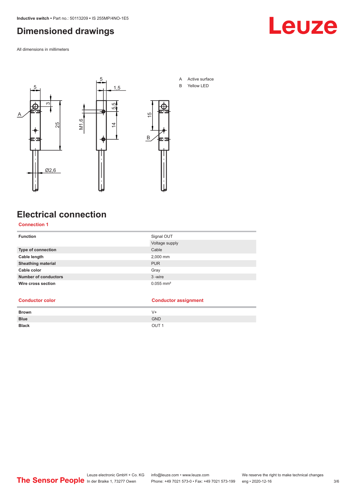### <span id="page-2-0"></span>**Dimensioned drawings**

All dimensions in millimeters





- A Active surface
- B Yellow LED

### **Electrical connection**

#### **Connection 1**

| G)<br>Ø<br>Α<br>M1.6<br>25<br>Ø2,6                  | 5,5<br>4<br>$\overline{\phantom{0}}$<br>€ | $\frac{5}{1}$<br>$\mathsf B$ |  |
|-----------------------------------------------------|-------------------------------------------|------------------------------|--|
| <b>Electrical connection</b><br><b>Connection 1</b> |                                           |                              |  |
|                                                     |                                           |                              |  |
| <b>Function</b>                                     |                                           | Signal OUT                   |  |
| Type of connection                                  |                                           | Voltage supply<br>Cable      |  |
| Cable length                                        |                                           | 2,000 mm                     |  |
| Sheathing material                                  |                                           | <b>PUR</b>                   |  |
| Cable color                                         |                                           | Gray                         |  |
| <b>Number of conductors</b>                         |                                           | 3-wire                       |  |
| Wire cross section                                  |                                           | $0.055$ mm <sup>2</sup>      |  |
| <b>Conductor color</b>                              |                                           | <b>Conductor assignment</b>  |  |
| <b>Brown</b>                                        |                                           | $V +$                        |  |
| <b>Blue</b><br><b>Black</b>                         |                                           | GND<br>OUT <sub>1</sub>      |  |
|                                                     |                                           |                              |  |
|                                                     |                                           |                              |  |

#### **Conductor color Conductor assignment**

| <b>Brown</b> | V+               |
|--------------|------------------|
| <b>Blue</b>  | <b>GND</b>       |
| <b>Black</b> | OUT <sub>1</sub> |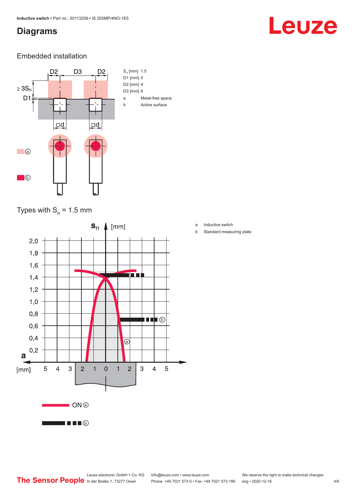#### <span id="page-3-0"></span>**Diagrams**

# Leuze

#### Embedded installation



#### Types with  $S_{n}$  = 1.5 mm



- a Inductive switch
- b Standard measuring plate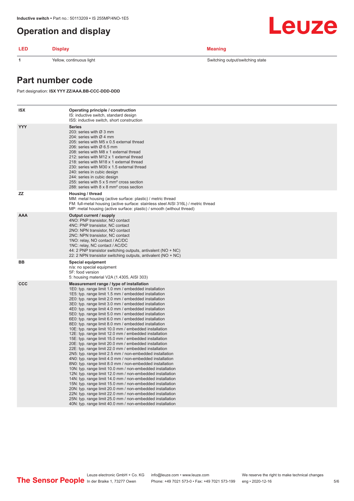#### <span id="page-4-0"></span>**Operation and display**

#### **LED Display Meaning**

**1** Yellow, continuous light Switching state Switching output/switching state

Leuze

#### **Part number code**

Part designation: **ISX YYY ZZ/AAA.BB-CCC-DDD-DDD**

| ISX | Operating principle / construction<br>IS: inductive switch, standard design<br>ISS: inductive switch, short construction                                                                                                                                                                                                                                                                                                                                                                                                                                                                                                                                                                                                                                                                                                                                                                                                                                                                                                                                                                                                                                                                                                                                                                                                                                                                                                                                                                          |
|-----|---------------------------------------------------------------------------------------------------------------------------------------------------------------------------------------------------------------------------------------------------------------------------------------------------------------------------------------------------------------------------------------------------------------------------------------------------------------------------------------------------------------------------------------------------------------------------------------------------------------------------------------------------------------------------------------------------------------------------------------------------------------------------------------------------------------------------------------------------------------------------------------------------------------------------------------------------------------------------------------------------------------------------------------------------------------------------------------------------------------------------------------------------------------------------------------------------------------------------------------------------------------------------------------------------------------------------------------------------------------------------------------------------------------------------------------------------------------------------------------------------|
| YYY | <b>Series</b><br>203: series with Ø 3 mm<br>204: series with $\varnothing$ 4 mm<br>205: series with M5 x 0.5 external thread<br>206: series with $\varnothing$ 6.5 mm<br>208: series with M8 x 1 external thread<br>212: series with M12 x 1 external thread<br>218: series with M18 x 1 external thread<br>230: series with M30 x 1.5 external thread<br>240: series in cubic design<br>244: series in cubic design<br>255: series with 5 x 5 mm <sup>2</sup> cross section<br>288: series with 8 x 8 mm <sup>2</sup> cross section                                                                                                                                                                                                                                                                                                                                                                                                                                                                                                                                                                                                                                                                                                                                                                                                                                                                                                                                                              |
| ZZ  | Housing / thread<br>MM: metal housing (active surface: plastic) / metric thread<br>FM: full-metal housing (active surface: stainless steel AISI 316L) / metric thread<br>MP: metal housing (active surface: plastic) / smooth (without thread)                                                                                                                                                                                                                                                                                                                                                                                                                                                                                                                                                                                                                                                                                                                                                                                                                                                                                                                                                                                                                                                                                                                                                                                                                                                    |
| AAA | Output current / supply<br>4NO: PNP transistor, NO contact<br>4NC: PNP transistor, NC contact<br>2NO: NPN transistor, NO contact<br>2NC: NPN transistor, NC contact<br>1NO: relay, NO contact / AC/DC<br>1NC: relay, NC contact / AC/DC<br>44: 2 PNP transistor switching outputs, antivalent (NO + NC)<br>22: 2 NPN transistor switching outputs, antivalent (NO + NC)                                                                                                                                                                                                                                                                                                                                                                                                                                                                                                                                                                                                                                                                                                                                                                                                                                                                                                                                                                                                                                                                                                                           |
| BВ  | <b>Special equipment</b><br>n/a: no special equipment<br>5F: food version<br>5: housing material V2A (1.4305, AISI 303)                                                                                                                                                                                                                                                                                                                                                                                                                                                                                                                                                                                                                                                                                                                                                                                                                                                                                                                                                                                                                                                                                                                                                                                                                                                                                                                                                                           |
| CCC | Measurement range / type of installation<br>1E0: typ. range limit 1.0 mm / embedded installation<br>1E5: typ. range limit 1.5 mm / embedded installation<br>2E0: typ. range limit 2.0 mm / embedded installation<br>3E0: typ. range limit 3.0 mm / embedded installation<br>4E0: typ. range limit 4.0 mm / embedded installation<br>5E0: typ. range limit 5.0 mm / embedded installation<br>6E0: typ. range limit 6.0 mm / embedded installation<br>8E0: typ. range limit 8.0 mm / embedded installation<br>10E: typ. range limit 10.0 mm / embedded installation<br>12E: typ. range limit 12.0 mm / embedded installation<br>15E: typ. range limit 15.0 mm / embedded installation<br>20E: typ. range limit 20.0 mm / embedded installation<br>22E: typ. range limit 22.0 mm / embedded installation<br>2N5: typ. range limit 2.5 mm / non-embedded installation<br>4N0: typ. range limit 4.0 mm / non-embedded installation<br>8N0: typ. range limit 8.0 mm / non-embedded installation<br>10N: typ. range limit 10.0 mm / non-embedded installation<br>12N: typ. range limit 12.0 mm / non-embedded installation<br>14N: typ. range limit 14.0 mm / non-embedded installation<br>15N: typ. range limit 15.0 mm / non-embedded installation<br>20N: typ. range limit 20.0 mm / non-embedded installation<br>22N: typ. range limit 22.0 mm / non-embedded installation<br>25N: typ. range limit 25.0 mm / non-embedded installation<br>40N: typ. range limit 40.0 mm / non-embedded installation |
|     |                                                                                                                                                                                                                                                                                                                                                                                                                                                                                                                                                                                                                                                                                                                                                                                                                                                                                                                                                                                                                                                                                                                                                                                                                                                                                                                                                                                                                                                                                                   |